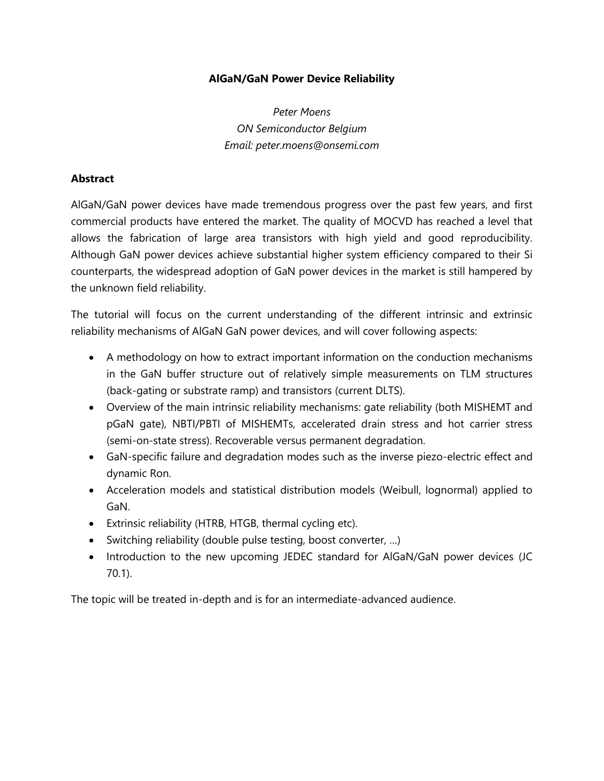## **AlGaN/GaN Power Device Reliability**

*Peter Moens ON Semiconductor Belgium Email: peter.moens@onsemi.com*

## **Abstract**

AlGaN/GaN power devices have made tremendous progress over the past few years, and first commercial products have entered the market. The quality of MOCVD has reached a level that allows the fabrication of large area transistors with high yield and good reproducibility. Although GaN power devices achieve substantial higher system efficiency compared to their Si counterparts, the widespread adoption of GaN power devices in the market is still hampered by the unknown field reliability.

The tutorial will focus on the current understanding of the different intrinsic and extrinsic reliability mechanisms of AlGaN GaN power devices, and will cover following aspects:

- A methodology on how to extract important information on the conduction mechanisms in the GaN buffer structure out of relatively simple measurements on TLM structures (back-gating or substrate ramp) and transistors (current DLTS).
- Overview of the main intrinsic reliability mechanisms: gate reliability (both MISHEMT and pGaN gate), NBTI/PBTI of MISHEMTs, accelerated drain stress and hot carrier stress (semi-on-state stress). Recoverable versus permanent degradation.
- GaN-specific failure and degradation modes such as the inverse piezo-electric effect and dynamic Ron.
- Acceleration models and statistical distribution models (Weibull, lognormal) applied to GaN.
- Extrinsic reliability (HTRB, HTGB, thermal cycling etc).
- Switching reliability (double pulse testing, boost converter, ...)
- Introduction to the new upcoming JEDEC standard for AlGaN/GaN power devices (JC 70.1).

The topic will be treated in-depth and is for an intermediate-advanced audience.